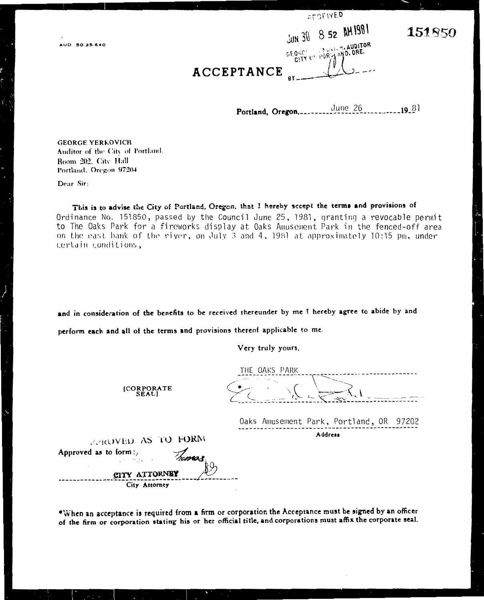|  | <b>SECEIVED</b> |                    |
|--|-----------------|--------------------|
|  |                 | JUN 30 8 52 AM1981 |
|  |                 |                    |

 $0.60 \times 0.00$ 

LUNICH. AUDITOR

PORTAMO.ORE.

151850

#### ACCEPTANCE

June 26  $19.81$ Portland, Oregon,.....

**GEORGE YERKOVICH** Auditor of the City of Portland. Room 202, City Hall Portland, Oregon 97204

Dear Sir:

This is to advise the City of Portland, Oregon, that I hereby accept the terms and provisions of Ordinance No. 151850, passed by the Council June 25, 1981, granting a revocable permit to The Oaks Park for a fireworks display at Oaks Amusement Park in the fenced-off area on the east bank of the river, on July 3 and 4, 1981 at approximately 10:15 pm, under certain conditions,

and in consideration of the benefits to be received thereunder by me I hereby agree to abide by and

perform each and all of the terms and provisions thereof applicable to me.

Very truly yours,

[CORPORATE<br>SEAL]

THE OAKS PARK

Oaks Amusement Park, Portland, OR 97202 Address

PPROVED AS TO FORM Approved as to form: **CITY ATTORNEY** City Attorney

\*When an acceptance is required from a firm or corporation the Acceptance must be signed by an officer of the firm or corporation stating his or her official title, and corporations must affix the corporate seal.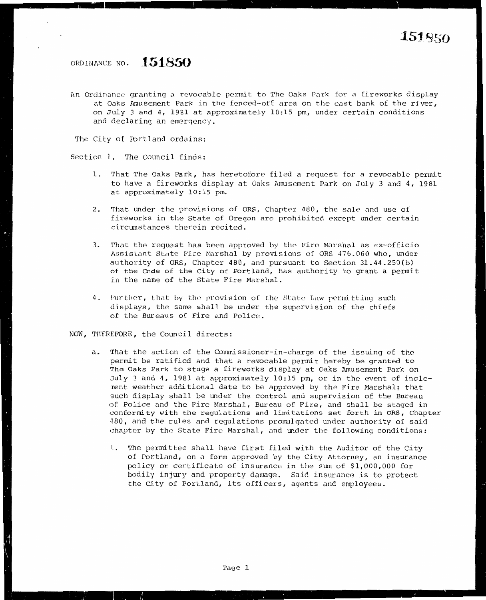#### ORDINANCE NO. **151850**

An Ordinance granting a revocable permit to The Oaks Park for a fireworks display at Oaks Amusement Park in the fenced·-off area on the cast bank of the river, on July 3 and 4, 1981 at approximately 10;15 pm, under certain conditions and declaring an emergency.

The City of Portland ordains:

Section 1. The Council finds:

- 1. That The Oaks Park, has heretofore filed a request for a revocable permit to have a fireworks display at Oaks Amusement Park on July 3 and 4, 1981 at approximately 10:15 pm.
- 2. That under the provisions of ORS, Chapter 480, the sale nnd use of fireworks in the State of Oregon are prohibited except under certain circumstances therein recited.
- 3. That the request has been approved by the Fire Marshal as ex-officio Assistant State Fire Marshal by provisions of ORS 476.060 who, under authority of ORS, Chapter 480, and pursuant to Section 31.44.250(b) of the Code of the City of Portland, has authority to grant a pennit in the name of the State Fire Marshal.
- 4. Further, that by the provision of the State Law permitting such displays, the same shall be under the supervision of the chiefs of the Bureaus of Fire and Police.

NOW, THEREFORE, the Council directs:

- a. That the action of the Commissioner-in-charge of the issuing of the permit be ratified and that a revocable permit hereby be granted to The Oaks Park to stage a fireworks display at Oaks Amusement Park on July 3 and 4, 1981 at approximately 10:15 pm, or in the event of inclement weather additional date to be approved by the Fire Marshal; that such display shall be under the control and supervision of the Bureau of Police and the Fire Marshal, Bureau of Fire, and shall be staged in conformity with the regulations and limitations set forth in ORS, Chapter ·180, and the rules and regulations promulgated under authority of said chapter by the State Fire Marshal, and under the following conditions:
	- L. The permittee shall have first filed with the Auditor of the City of Portland, on a form approved by the City Attorney, an insurance policy or certificate of insurance in the sum of \$1,000,000 for bodily injury and property damage. Said insurance is to protect the City of Portland, its officers, agents and employees.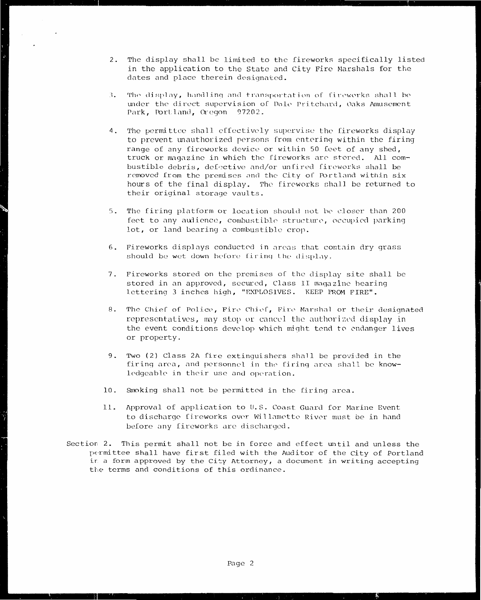- 2. The display shall be limited to the fireworks specifically listed in the application to the State and City Fire Marshals for the dates and place therein designated.
- 3. The display, handling and transportation of fireworks shall be under the direct supervision of Dale Pritchard, Oaks Amusement Park, Portland, Oregon 97202.
- The permittee shall effectively supervise the fireworks display 4. to prevent unauthorized persons from entering within the firing range of any fireworks device or within 50 feet of any shed, truck or magazine in which the fireworks are stored. All combustible debris, defective and/or unfired fireworks shall be removed from the premises and the City of Portland within six hours of the final display. The fireworks shall be returned to their original storage vaults.
- 5. The firing platform or location should not be closer than 200 feet to any audience, combustible structure, occupied parking lot, or land bearing a combustible crop.
- 6. Fireworks displays conducted in areas that contain dry grass should be wet down before firing the display.
- 7. Fireworks stored on the premises of the display site shall be stored in an approved, secured, Class II magazine bearing lettering 3 inches high, "EXPLOSIVES. KEEP FROM FIRE".
- 8. The Chief of Police, Fire Chief, Fire Marshal or their designated representatives, may stop or cancel the authorized display in the event conditions develop which might tend to endanger lives or property.
- 9. Two (2) Class 2A fire extinguishers shall be provided in the firing area, and personnel in the firing area shall be knowledgeable in their use and operation.
- 10. Smoking shall not be permitted in the firing area.
- 11. Approval of application to U.S. Coast Guard for Marine Event to discharge fireworks over Willamette River must be in hand before any fireworks are discharged.
- Section 2. This permit shall not be in force and effect until and unless the permittee shall have first filed with the Auditor of the City of Portland in a form approved by the City Attorney, a document in writing accepting the terms and conditions of this ordinance.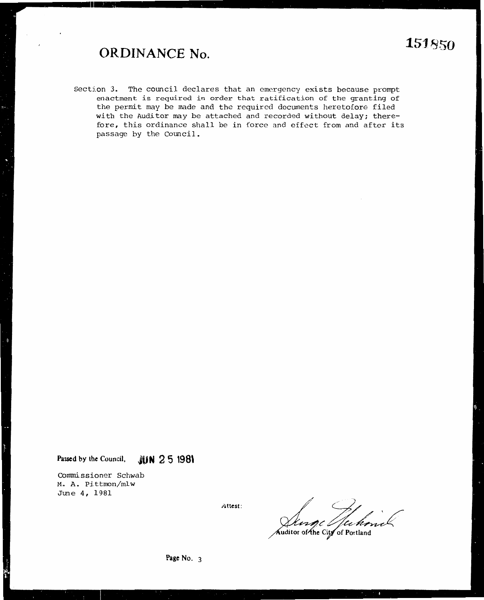### **ORDINANCE No.**

Section 3. The council declares that an emergency exists because prompt enactment is required in order that ratification of the granting of the permit may be made and the required documents heretofore filed with the Auditor may be attached and recorded without delay; therefore, this ordinance shall be in force and effect from and after its passage by the Council.

Passed by the Council, **JUN 2 5 1981** 

Commissioner Schwab M. A. Pittmon/mlw June 4, 1981

**Attest:**  $\left( \begin{array}{ccc} 1 & 1 \\ 1 & 1 \end{array} \right)$  $\mathcal{O}/\mathcal{O}$ *v,~,c* 

**of Portland**